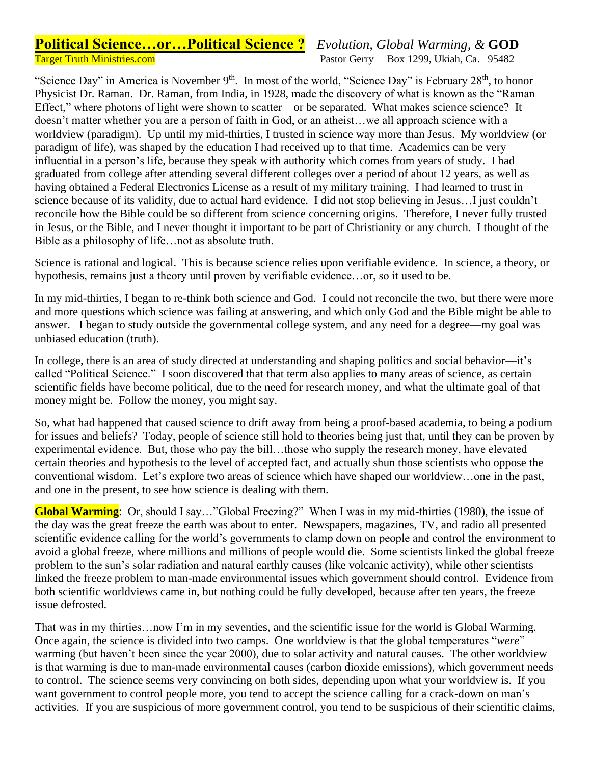## **Political Science…or…Political Science ?** *Evolution, Global Warming, &* **GOD** Target Truth Ministries.com Pastor Gerry Box 1299, Ukiah, Ca. 95482

"Science Day" in America is November  $9<sup>th</sup>$ . In most of the world, "Science Day" is February 28<sup>th</sup>, to honor Physicist Dr. Raman. Dr. Raman, from India, in 1928, made the discovery of what is known as the "Raman Effect," where photons of light were shown to scatter—or be separated. What makes science science? It doesn't matter whether you are a person of faith in God, or an atheist…we all approach science with a worldview (paradigm). Up until my mid-thirties, I trusted in science way more than Jesus. My worldview (or paradigm of life), was shaped by the education I had received up to that time. Academics can be very influential in a person's life, because they speak with authority which comes from years of study. I had graduated from college after attending several different colleges over a period of about 12 years, as well as having obtained a Federal Electronics License as a result of my military training. I had learned to trust in science because of its validity, due to actual hard evidence. I did not stop believing in Jesus…I just couldn't reconcile how the Bible could be so different from science concerning origins. Therefore, I never fully trusted in Jesus, or the Bible, and I never thought it important to be part of Christianity or any church. I thought of the Bible as a philosophy of life…not as absolute truth.

Science is rational and logical. This is because science relies upon verifiable evidence. In science, a theory, or hypothesis, remains just a theory until proven by verifiable evidence…or, so it used to be.

In my mid-thirties, I began to re-think both science and God. I could not reconcile the two, but there were more and more questions which science was failing at answering, and which only God and the Bible might be able to answer. I began to study outside the governmental college system, and any need for a degree—my goal was unbiased education (truth).

In college, there is an area of study directed at understanding and shaping politics and social behavior—it's called "Political Science." I soon discovered that that term also applies to many areas of science, as certain scientific fields have become political, due to the need for research money, and what the ultimate goal of that money might be. Follow the money, you might say.

So, what had happened that caused science to drift away from being a proof-based academia, to being a podium for issues and beliefs? Today, people of science still hold to theories being just that, until they can be proven by experimental evidence. But, those who pay the bill…those who supply the research money, have elevated certain theories and hypothesis to the level of accepted fact, and actually shun those scientists who oppose the conventional wisdom. Let's explore two areas of science which have shaped our worldview…one in the past, and one in the present, to see how science is dealing with them.

**Global Warming**: Or, should I say…"Global Freezing?" When I was in my mid-thirties (1980), the issue of the day was the great freeze the earth was about to enter. Newspapers, magazines, TV, and radio all presented scientific evidence calling for the world's governments to clamp down on people and control the environment to avoid a global freeze, where millions and millions of people would die. Some scientists linked the global freeze problem to the sun's solar radiation and natural earthly causes (like volcanic activity), while other scientists linked the freeze problem to man-made environmental issues which government should control. Evidence from both scientific worldviews came in, but nothing could be fully developed, because after ten years, the freeze issue defrosted.

That was in my thirties…now I'm in my seventies, and the scientific issue for the world is Global Warming. Once again, the science is divided into two camps. One worldview is that the global temperatures "*were*" warming (but haven't been since the year 2000), due to solar activity and natural causes. The other worldview is that warming is due to man-made environmental causes (carbon dioxide emissions), which government needs to control. The science seems very convincing on both sides, depending upon what your worldview is. If you want government to control people more, you tend to accept the science calling for a crack-down on man's activities. If you are suspicious of more government control, you tend to be suspicious of their scientific claims,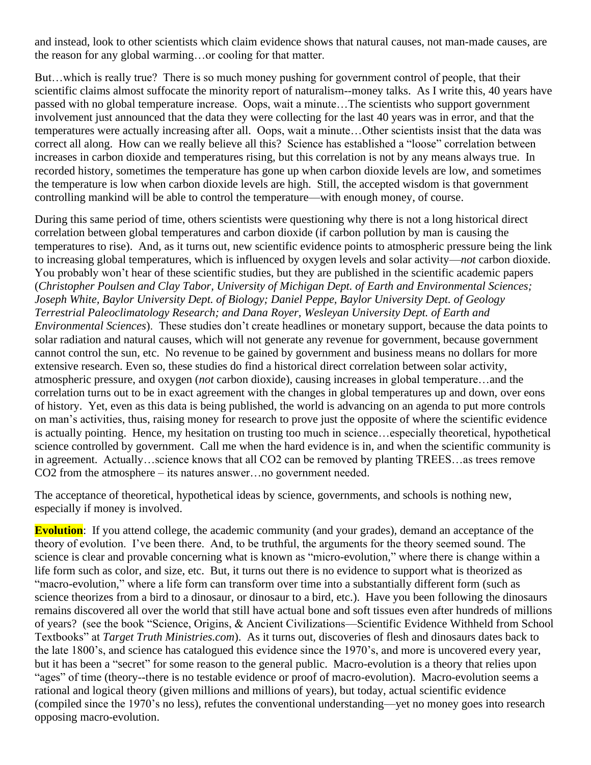and instead, look to other scientists which claim evidence shows that natural causes, not man-made causes, are the reason for any global warming…or cooling for that matter.

But…which is really true? There is so much money pushing for government control of people, that their scientific claims almost suffocate the minority report of naturalism--money talks. As I write this, 40 years have passed with no global temperature increase. Oops, wait a minute…The scientists who support government involvement just announced that the data they were collecting for the last 40 years was in error, and that the temperatures were actually increasing after all. Oops, wait a minute…Other scientists insist that the data was correct all along. How can we really believe all this? Science has established a "loose" correlation between increases in carbon dioxide and temperatures rising, but this correlation is not by any means always true. In recorded history, sometimes the temperature has gone up when carbon dioxide levels are low, and sometimes the temperature is low when carbon dioxide levels are high. Still, the accepted wisdom is that government controlling mankind will be able to control the temperature—with enough money, of course.

During this same period of time, others scientists were questioning why there is not a long historical direct correlation between global temperatures and carbon dioxide (if carbon pollution by man is causing the temperatures to rise). And, as it turns out, new scientific evidence points to atmospheric pressure being the link to increasing global temperatures, which is influenced by oxygen levels and solar activity—*not* carbon dioxide. You probably won't hear of these scientific studies, but they are published in the scientific academic papers (*Christopher Poulsen and Clay Tabor, University of Michigan Dept. of Earth and Environmental Sciences; Joseph White, Baylor University Dept. of Biology; Daniel Peppe, Baylor University Dept. of Geology Terrestrial Paleoclimatology Research; and Dana Royer, Wesleyan University Dept. of Earth and Environmental Sciences*). These studies don't create headlines or monetary support, because the data points to solar radiation and natural causes, which will not generate any revenue for government, because government cannot control the sun, etc. No revenue to be gained by government and business means no dollars for more extensive research. Even so, these studies do find a historical direct correlation between solar activity, atmospheric pressure, and oxygen (*not* carbon dioxide), causing increases in global temperature…and the correlation turns out to be in exact agreement with the changes in global temperatures up and down, over eons of history. Yet, even as this data is being published, the world is advancing on an agenda to put more controls on man's activities, thus, raising money for research to prove just the opposite of where the scientific evidence is actually pointing. Hence, my hesitation on trusting too much in science…especially theoretical, hypothetical science controlled by government. Call me when the hard evidence is in, and when the scientific community is in agreement. Actually…science knows that all CO2 can be removed by planting TREES…as trees remove CO2 from the atmosphere – its natures answer…no government needed.

The acceptance of theoretical, hypothetical ideas by science, governments, and schools is nothing new, especially if money is involved.

**Evolution**: If you attend college, the academic community (and your grades), demand an acceptance of the theory of evolution. I've been there. And, to be truthful, the arguments for the theory seemed sound. The science is clear and provable concerning what is known as "micro-evolution," where there is change within a life form such as color, and size, etc. But, it turns out there is no evidence to support what is theorized as "macro-evolution," where a life form can transform over time into a substantially different form (such as science theorizes from a bird to a dinosaur, or dinosaur to a bird, etc.). Have you been following the dinosaurs remains discovered all over the world that still have actual bone and soft tissues even after hundreds of millions of years? (see the book "Science, Origins, & Ancient Civilizations—Scientific Evidence Withheld from School Textbooks" at *Target Truth Ministries.com*). As it turns out, discoveries of flesh and dinosaurs dates back to the late 1800's, and science has catalogued this evidence since the 1970's, and more is uncovered every year, but it has been a "secret" for some reason to the general public. Macro-evolution is a theory that relies upon "ages" of time (theory--there is no testable evidence or proof of macro-evolution). Macro-evolution seems a rational and logical theory (given millions and millions of years), but today, actual scientific evidence (compiled since the 1970's no less), refutes the conventional understanding—yet no money goes into research opposing macro-evolution.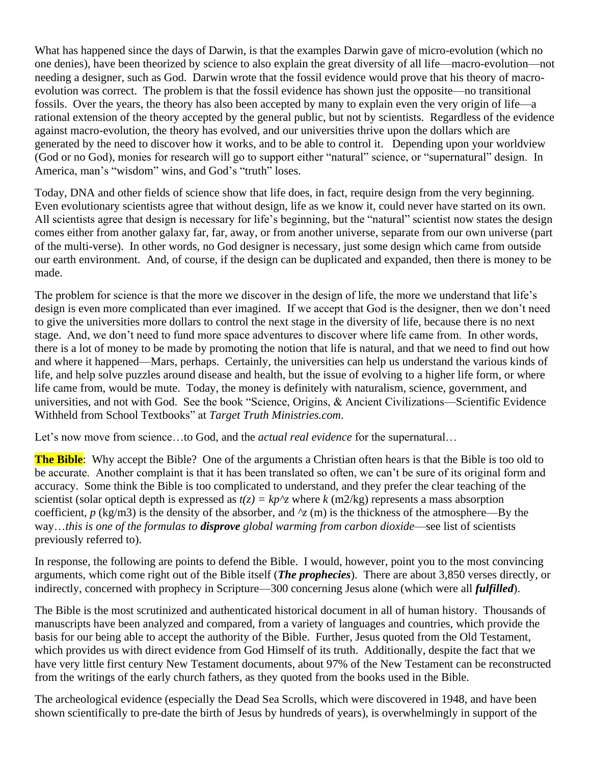What has happened since the days of Darwin, is that the examples Darwin gave of micro-evolution (which no one denies), have been theorized by science to also explain the great diversity of all life—macro-evolution—not needing a designer, such as God. Darwin wrote that the fossil evidence would prove that his theory of macroevolution was correct. The problem is that the fossil evidence has shown just the opposite—no transitional fossils. Over the years, the theory has also been accepted by many to explain even the very origin of life—a rational extension of the theory accepted by the general public, but not by scientists. Regardless of the evidence against macro-evolution, the theory has evolved, and our universities thrive upon the dollars which are generated by the need to discover how it works, and to be able to control it. Depending upon your worldview (God or no God), monies for research will go to support either "natural" science, or "supernatural" design. In America, man's "wisdom" wins, and God's "truth" loses.

Today, DNA and other fields of science show that life does, in fact, require design from the very beginning. Even evolutionary scientists agree that without design, life as we know it, could never have started on its own. All scientists agree that design is necessary for life's beginning, but the "natural" scientist now states the design comes either from another galaxy far, far, away, or from another universe, separate from our own universe (part of the multi-verse). In other words, no God designer is necessary, just some design which came from outside our earth environment. And, of course, if the design can be duplicated and expanded, then there is money to be made.

The problem for science is that the more we discover in the design of life, the more we understand that life's design is even more complicated than ever imagined. If we accept that God is the designer, then we don't need to give the universities more dollars to control the next stage in the diversity of life, because there is no next stage. And, we don't need to fund more space adventures to discover where life came from. In other words, there is a lot of money to be made by promoting the notion that life is natural, and that we need to find out how and where it happened—Mars, perhaps. Certainly, the universities can help us understand the various kinds of life, and help solve puzzles around disease and health, but the issue of evolving to a higher life form, or where life came from, would be mute. Today, the money is definitely with naturalism, science, government, and universities, and not with God. See the book "Science, Origins, & Ancient Civilizations—Scientific Evidence Withheld from School Textbooks" at *Target Truth Ministries.com*.

Let's now move from science…to God, and the *actual real evidence* for the supernatural…

**The Bible**: Why accept the Bible? One of the arguments a Christian often hears is that the Bible is too old to be accurate. Another complaint is that it has been translated so often, we can't be sure of its original form and accuracy. Some think the Bible is too complicated to understand, and they prefer the clear teaching of the scientist (solar optical depth is expressed as  $t(z) = kp^2$  where  $k$  (m2/kg) represents a mass absorption coefficient,  $p$  (kg/m3) is the density of the absorber, and  $\gamma$  (m) is the thickness of the atmosphere—By the way…*this is one of the formulas to disprove global warming from carbon dioxide*—see list of scientists previously referred to).

In response, the following are points to defend the Bible. I would, however, point you to the most convincing arguments, which come right out of the Bible itself (*The prophecies*). There are about 3,850 verses directly, or indirectly, concerned with prophecy in Scripture—300 concerning Jesus alone (which were all *fulfilled*).

The Bible is the most scrutinized and authenticated historical document in all of human history. Thousands of manuscripts have been analyzed and compared, from a variety of languages and countries, which provide the basis for our being able to accept the authority of the Bible. Further, Jesus quoted from the Old Testament, which provides us with direct evidence from God Himself of its truth. Additionally, despite the fact that we have very little first century New Testament documents, about 97% of the New Testament can be reconstructed from the writings of the early church fathers, as they quoted from the books used in the Bible.

The archeological evidence (especially the Dead Sea Scrolls, which were discovered in 1948, and have been shown scientifically to pre-date the birth of Jesus by hundreds of years), is overwhelmingly in support of the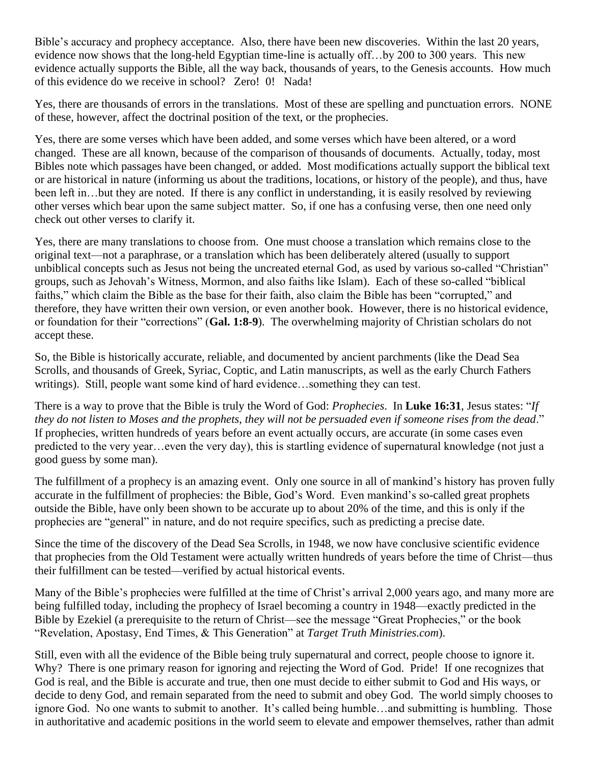Bible's accuracy and prophecy acceptance. Also, there have been new discoveries. Within the last 20 years, evidence now shows that the long-held Egyptian time-line is actually off…by 200 to 300 years. This new evidence actually supports the Bible, all the way back, thousands of years, to the Genesis accounts. How much of this evidence do we receive in school? Zero! 0! Nada!

Yes, there are thousands of errors in the translations. Most of these are spelling and punctuation errors. NONE of these, however, affect the doctrinal position of the text, or the prophecies.

Yes, there are some verses which have been added, and some verses which have been altered, or a word changed. These are all known, because of the comparison of thousands of documents. Actually, today, most Bibles note which passages have been changed, or added. Most modifications actually support the biblical text or are historical in nature (informing us about the traditions, locations, or history of the people), and thus, have been left in…but they are noted. If there is any conflict in understanding, it is easily resolved by reviewing other verses which bear upon the same subject matter. So, if one has a confusing verse, then one need only check out other verses to clarify it.

Yes, there are many translations to choose from. One must choose a translation which remains close to the original text—not a paraphrase, or a translation which has been deliberately altered (usually to support unbiblical concepts such as Jesus not being the uncreated eternal God, as used by various so-called "Christian" groups, such as Jehovah's Witness, Mormon, and also faiths like Islam). Each of these so-called "biblical faiths," which claim the Bible as the base for their faith, also claim the Bible has been "corrupted," and therefore, they have written their own version, or even another book. However, there is no historical evidence, or foundation for their "corrections" (**Gal. 1:8-9**). The overwhelming majority of Christian scholars do not accept these.

So, the Bible is historically accurate, reliable, and documented by ancient parchments (like the Dead Sea Scrolls, and thousands of Greek, Syriac, Coptic, and Latin manuscripts, as well as the early Church Fathers writings). Still, people want some kind of hard evidence…something they can test.

There is a way to prove that the Bible is truly the Word of God: *Prophecies*. In **Luke 16:31**, Jesus states: "*If they do not listen to Moses and the prophets, they will not be persuaded even if someone rises from the dead*." If prophecies, written hundreds of years before an event actually occurs, are accurate (in some cases even predicted to the very year…even the very day), this is startling evidence of supernatural knowledge (not just a good guess by some man).

The fulfillment of a prophecy is an amazing event. Only one source in all of mankind's history has proven fully accurate in the fulfillment of prophecies: the Bible, God's Word. Even mankind's so-called great prophets outside the Bible, have only been shown to be accurate up to about 20% of the time, and this is only if the prophecies are "general" in nature, and do not require specifics, such as predicting a precise date.

Since the time of the discovery of the Dead Sea Scrolls, in 1948, we now have conclusive scientific evidence that prophecies from the Old Testament were actually written hundreds of years before the time of Christ—thus their fulfillment can be tested—verified by actual historical events.

Many of the Bible's prophecies were fulfilled at the time of Christ's arrival 2,000 years ago, and many more are being fulfilled today, including the prophecy of Israel becoming a country in 1948—exactly predicted in the Bible by Ezekiel (a prerequisite to the return of Christ—see the message "Great Prophecies," or the book "Revelation, Apostasy, End Times, & This Generation" at *Target Truth Ministries.com*).

Still, even with all the evidence of the Bible being truly supernatural and correct, people choose to ignore it. Why? There is one primary reason for ignoring and rejecting the Word of God. Pride! If one recognizes that God is real, and the Bible is accurate and true, then one must decide to either submit to God and His ways, or decide to deny God, and remain separated from the need to submit and obey God. The world simply chooses to ignore God. No one wants to submit to another. It's called being humble…and submitting is humbling. Those in authoritative and academic positions in the world seem to elevate and empower themselves, rather than admit